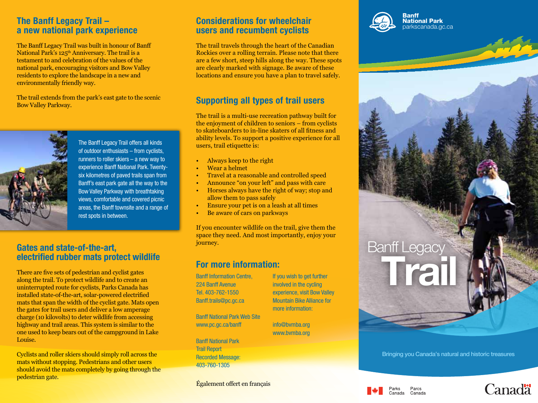## **The Banff Legacy Trail – a new national park experience**

The Banff Legacy Trail was built in honour of Banff National Park's 125<sup>th</sup> Anniversary. The trail is a testament to and celebration of the values of the national park, encouraging visitors and Bow Valley residents to explore the landscape in a new and environmentally friendly way.

The trail extends from the park's east gate to the scenic Bow Valley Parkway.



The Banff Legacy Trail offers all kinds of outdoor enthusiasts – from cyclists, runners to roller skiers – a new way to experience Banff National Park. Twentysix kilometres of paved trails span from Banff's east park gate all the way to the Bow Valley Parkway with breathtaking views, comfortable and covered picnic areas, the Banff townsite and a range of rest spots in between.

### **Gates and state-of-the-art, electrified rubber mats protect wildlife**

There are five sets of pedestrian and cyclist gates along the trail. To protect wildlife and to create an uninterrupted route for cyclists, Parks Canada has installed state-of-the-art, solar-powered electrified mats that span the width of the cyclist gate. Mats open the gates for trail users and deliver a low amperage charge (10 kilovolts) to deter wildlife from accessing highway and trail areas. This system is similar to the one used to keep bears out of the campground in Lake Louise.

Cyclists and roller skiers should simply roll across the mats without stopping. Pedestrians and other users should avoid the mats completely by going through the pedestrian gate.

# **Considerations for wheelchair users and recumbent cyclists**

The trail travels through the heart of the Canadian Rockies over a rolling terrain. Please note that there are a few short, steep hills along the way. These spots are clearly marked with signage. Be aware of these locations and ensure you have a plan to travel safely.

# **Supporting all types of trail users**

The trail is a multi-use recreation pathway built for the enjoyment of children to seniors – from cyclists to skateboarders to in-line skaters of all fitness and ability levels. To support a positive experience for all users, trail etiquette is:

- Always keep to the right
- Wear a helmet
- Travel at a reasonable and controlled speed
- Announce "on your left" and pass with care
- Horses always have the right of way; stop and allow them to pass safely
- Ensure your pet is on a leash at all times
- Be aware of cars on parkways

If you encounter wildlife on the trail, give them the space they need. And most importantly, enjoy your journey.

# **For more information:**

Banff Information Centre, 224 Banff Avenue Tel. 403-762-1550 Banff.trails@pc.gc.ca

Banff National Park Web Site www.pc.gc.ca/banff

Banff National Park Trail Report Recorded Message: 403-760-1305

Également offert en français

If you wish to get further involved in the cycling experience, visit Bow Valley Mountain Bike Alliance for more information:

info@bvmba.org www.bvmba.org





Bringing you Canada's natural and historic treasures